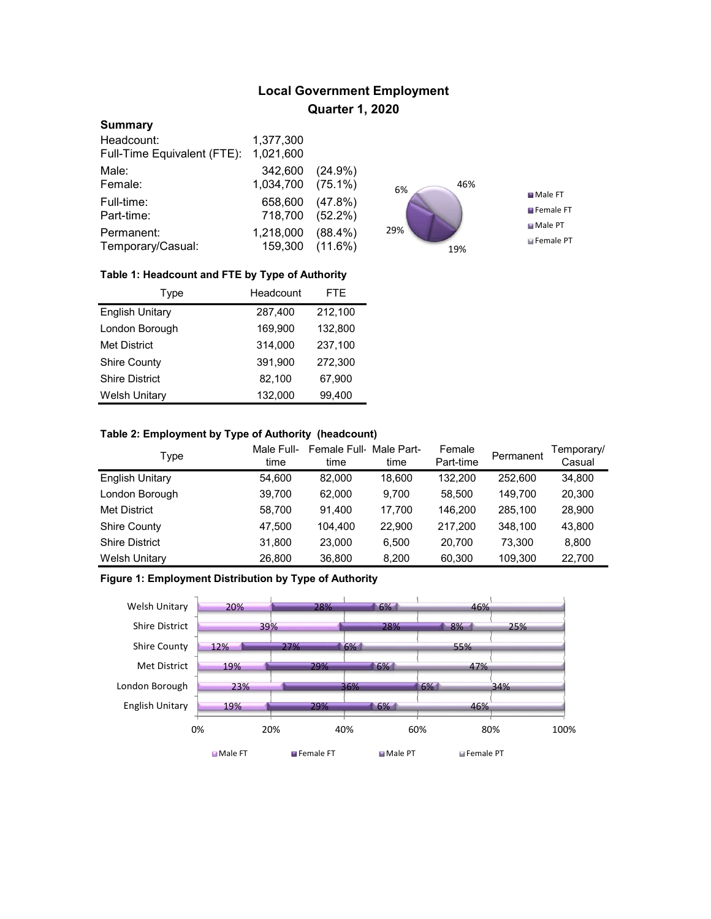# Local Government Employment Quarter 1, 2020

#### **Summary**

| Headcount:                  | 1,377,300 |                 |
|-----------------------------|-----------|-----------------|
| Full-Time Equivalent (FTE): | 1,021,600 |                 |
| Male:                       | 342,600   | $(24.9\%)$      |
| Female:                     | 1,034,700 | $(75.1\%)$      |
| Full-time:                  | 658,600   | $(47.8\%)$      |
| Part-time:                  | 718,700   | $(52.2\%)$      |
| Permanent:                  | 1,218,000 | $(88.4\%)$      |
| Temporary/Casual:           |           | 159,300 (11.6%) |



#### Table 1: Headcount and FTE by Type of Authority

| Type                   | Headcount | FTE.    |
|------------------------|-----------|---------|
| <b>English Unitary</b> | 287,400   | 212,100 |
| London Borough         | 169,900   | 132,800 |
| <b>Met District</b>    | 314.000   | 237,100 |
| <b>Shire County</b>    | 391.900   | 272,300 |
| <b>Shire District</b>  | 82,100    | 67,900  |
| <b>Welsh Unitary</b>   | 132,000   | 99,400  |

# Table 2: Employment by Type of Authority (headcount)

| Type                   | Male Full-<br>time | Female Full Male Part-<br>time | time   | Female<br>Part-time | Permanent | Temporary/<br>Casual |
|------------------------|--------------------|--------------------------------|--------|---------------------|-----------|----------------------|
| <b>English Unitary</b> | 54,600             | 82.000                         | 18,600 | 132.200             | 252,600   | 34,800               |
| London Borough         | 39,700             | 62.000                         | 9.700  | 58.500              | 149.700   | 20,300               |
| <b>Met District</b>    | 58,700             | 91.400                         | 17.700 | 146.200             | 285.100   | 28,900               |
| <b>Shire County</b>    | 47,500             | 104.400                        | 22,900 | 217.200             | 348.100   | 43,800               |
| <b>Shire District</b>  | 31,800             | 23.000                         | 6.500  | 20.700              | 73.300    | 8,800                |
| <b>Welsh Unitary</b>   | 26,800             | 36,800                         | 8,200  | 60,300              | 109,300   | 22,700               |

# Figure 1: Employment Distribution by Type of Authority